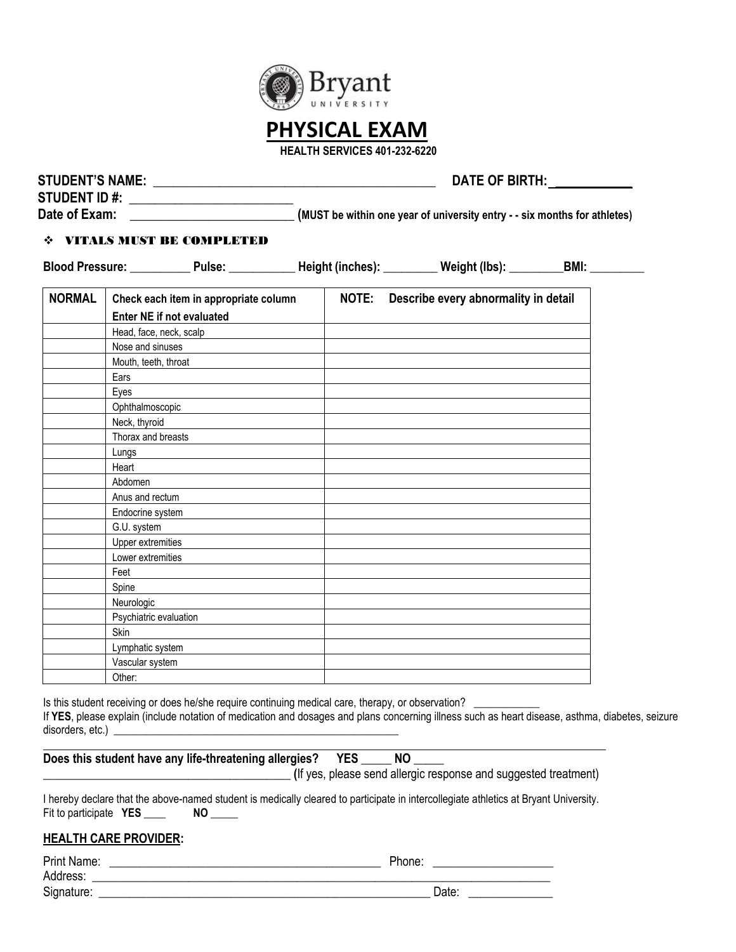

# **PHYSICAL EXAM**

 **HEALTH SERVICES 401-232-6220** 

|               | DATE OF BIRTH:                                                                                                |                                                                                                                         |                                            |  |  |  |  |
|---------------|---------------------------------------------------------------------------------------------------------------|-------------------------------------------------------------------------------------------------------------------------|--------------------------------------------|--|--|--|--|
|               | <b>STUDENT ID #:</b> _______________________                                                                  |                                                                                                                         |                                            |  |  |  |  |
|               |                                                                                                               | Date of Exam: ________________________________(MUST be within one year of university entry - - six months for athletes) |                                            |  |  |  |  |
|               | ❖ VITALS MUST BE COMPLETED                                                                                    |                                                                                                                         |                                            |  |  |  |  |
|               | Blood Pressure: ___________Pulse: ____________Height (inches): _________Weight (lbs): _________BMI: _________ |                                                                                                                         |                                            |  |  |  |  |
| <b>NORMAL</b> | Check each item in appropriate column                                                                         |                                                                                                                         | NOTE: Describe every abnormality in detail |  |  |  |  |
|               | Enter NE if not evaluated                                                                                     |                                                                                                                         |                                            |  |  |  |  |
|               | Head, face, neck, scalp                                                                                       |                                                                                                                         |                                            |  |  |  |  |
|               | Nose and sinuses                                                                                              |                                                                                                                         |                                            |  |  |  |  |
|               | Mouth, teeth, throat                                                                                          |                                                                                                                         |                                            |  |  |  |  |
|               | Ears                                                                                                          |                                                                                                                         |                                            |  |  |  |  |
|               | Eyes                                                                                                          |                                                                                                                         |                                            |  |  |  |  |
|               | Ophthalmoscopic                                                                                               |                                                                                                                         |                                            |  |  |  |  |
|               | Neck, thyroid                                                                                                 |                                                                                                                         |                                            |  |  |  |  |
|               | Thorax and breasts                                                                                            |                                                                                                                         |                                            |  |  |  |  |
|               | Lungs                                                                                                         |                                                                                                                         |                                            |  |  |  |  |
|               | Heart                                                                                                         |                                                                                                                         |                                            |  |  |  |  |
|               | Abdomen                                                                                                       |                                                                                                                         |                                            |  |  |  |  |
|               | Anus and rectum                                                                                               |                                                                                                                         |                                            |  |  |  |  |
|               | Endocrine system                                                                                              |                                                                                                                         |                                            |  |  |  |  |
|               | G.U. system                                                                                                   |                                                                                                                         |                                            |  |  |  |  |
|               | <b>Upper extremities</b>                                                                                      |                                                                                                                         |                                            |  |  |  |  |
|               | Lower extremities                                                                                             |                                                                                                                         |                                            |  |  |  |  |
|               | Feet                                                                                                          |                                                                                                                         |                                            |  |  |  |  |
|               | Spine                                                                                                         |                                                                                                                         |                                            |  |  |  |  |
|               | Neurologic                                                                                                    |                                                                                                                         |                                            |  |  |  |  |
|               | Psychiatric evaluation                                                                                        |                                                                                                                         |                                            |  |  |  |  |
|               | <b>Skin</b>                                                                                                   |                                                                                                                         |                                            |  |  |  |  |
|               | Lymphatic system                                                                                              |                                                                                                                         |                                            |  |  |  |  |
|               | Vascular system                                                                                               |                                                                                                                         |                                            |  |  |  |  |
|               | Other:                                                                                                        |                                                                                                                         |                                            |  |  |  |  |

Is this student receiving or does he/she require continuing medical care, therapy, or observation? If **YES**, please explain (include notation of medication and dosages and plans concerning illness such as heart disease, asthma, diabetes, seizure disorders, etc.)  $\overline{\phantom{a}}$ 

| Does this student have any life-threatening allergies? YES                                                                        |
|-----------------------------------------------------------------------------------------------------------------------------------|
| (If yes, please send allergic response and suggested treatment)                                                                   |
| harehy declare that the above nomed student is medically closed to nextiginate in intercollection of blatics of Drugot University |

I hereby declare that the above-named student is medically cleared to participate in intercollegiate athletics at Bryant University. Fit to participate **YES** \_\_\_\_ NO \_\_\_\_\_

### **HEALTH CARE PROVIDER:**

| Print Name: | Phone: |
|-------------|--------|
| Address:    |        |
| Signature:  | Date:  |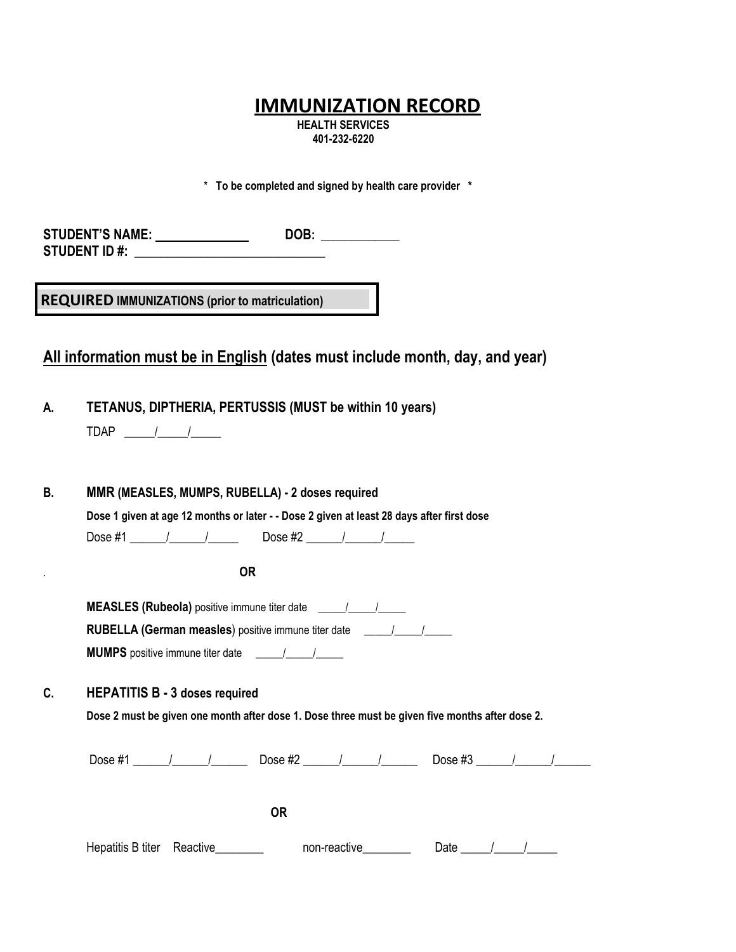# **IMMUNIZATION RECORD**

**HEALTH SERVICES 401-232-6220** 

\* **To be completed and signed by health care provider \***

STUDENT'S NAME: \_\_\_\_\_\_\_\_\_\_\_\_\_\_\_\_\_\_\_\_\_\_\_\_\_DOB: \_\_\_\_\_\_\_\_\_\_\_\_\_\_\_\_\_\_\_\_\_\_\_\_\_\_\_\_\_\_\_\_\_\_\_ **STUDENT ID #:** 

**REC REQUIRED IMMUNIZATIONS (prior to matriculation)**

## **All information must be in English (dates must include month, day, and year)**

**A. TETANUS, DIPTHERIA, PERTUSSIS (MUST be within 10 years)** 

**B. MMR (MEASLES, MUMPS, RUBELLA) - 2 doses required Dose 1 given at age 12 months or later - - Dose 2 given at least 28 days after first dose** Dose #1 \_\_\_\_\_\_/\_\_\_\_\_\_/\_\_\_\_\_ Dose #2 \_\_\_\_\_\_/\_\_\_\_\_\_/\_\_\_\_\_ . **OR MEASLES (Rubeola)** positive immune titer date \_\_\_\_\_\_/\_\_\_\_\_\_\_\_\_\_\_\_\_\_\_\_\_\_\_\_\_\_\_\_\_\_\_ **RUBELLA (German measles)** positive immune titer date \_\_\_\_\_/\_\_\_\_\_/\_\_\_\_\_\_\_\_\_\_\_\_\_\_\_\_ **MUMPS** positive immune titer date \_\_\_\_\_/\_\_\_\_\_/\_\_\_\_\_

**C. HEPATITIS B - 3 doses required** 

**Dose 2 must be given one month after dose 1. Dose three must be given five months after dose 2.**

Dose #1 \_\_\_\_\_\_\_/\_\_\_\_\_\_\_\_\_\_\_\_\_\_\_\_ Dose #2 \_\_\_\_\_\_\_/\_\_\_\_\_\_\_\_\_\_\_\_\_\_\_\_\_\_\_\_\_\_\_\_Dose #3 \_\_\_\_\_\_\_/\_\_\_\_\_\_\_\_\_\_

**OR**

| Hepatitis B titer Reactive |  | non-reactive | Date |  |  |
|----------------------------|--|--------------|------|--|--|
|----------------------------|--|--------------|------|--|--|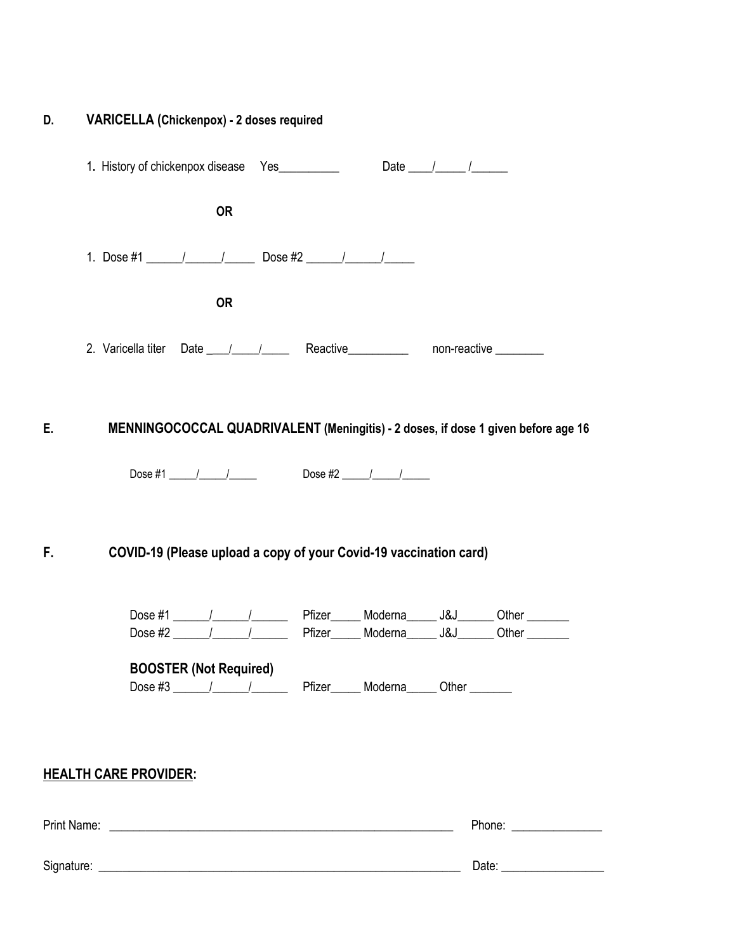| D. | VARICELLA (Chickenpox) - 2 doses required                                        |                                                                               |  |                                                                                   |
|----|----------------------------------------------------------------------------------|-------------------------------------------------------------------------------|--|-----------------------------------------------------------------------------------|
|    |                                                                                  |                                                                               |  |                                                                                   |
|    |                                                                                  | <b>OR</b>                                                                     |  |                                                                                   |
|    | 1. Dose #1 ________________________________ Dose #2 ____________________________ |                                                                               |  |                                                                                   |
|    |                                                                                  | <b>OR</b>                                                                     |  |                                                                                   |
|    | 2. Varicella titer Date 1 1 1 Reactive 100 non-reactive 100                      |                                                                               |  |                                                                                   |
| Ε. |                                                                                  |                                                                               |  | MENNINGOCOCCAL QUADRIVALENT (Meningitis) - 2 doses, if dose 1 given before age 16 |
|    |                                                                                  |                                                                               |  |                                                                                   |
| F. | COVID-19 (Please upload a copy of your Covid-19 vaccination card)                |                                                                               |  |                                                                                   |
|    |                                                                                  |                                                                               |  |                                                                                   |
|    |                                                                                  | Dose #2 $\frac{1}{2}$ $\frac{1}{2}$                                           |  | Pfizer______ Moderna______ J&J_______ Other ________                              |
|    | <b>BOOSTER (Not Required)</b>                                                    | Dose #3 _____/______/____________ Pfizer_______ Moderna______ Other _________ |  |                                                                                   |
|    |                                                                                  |                                                                               |  |                                                                                   |
|    | <b>HEALTH CARE PROVIDER:</b>                                                     |                                                                               |  |                                                                                   |
|    |                                                                                  |                                                                               |  | Phone: _________________                                                          |
|    |                                                                                  |                                                                               |  |                                                                                   |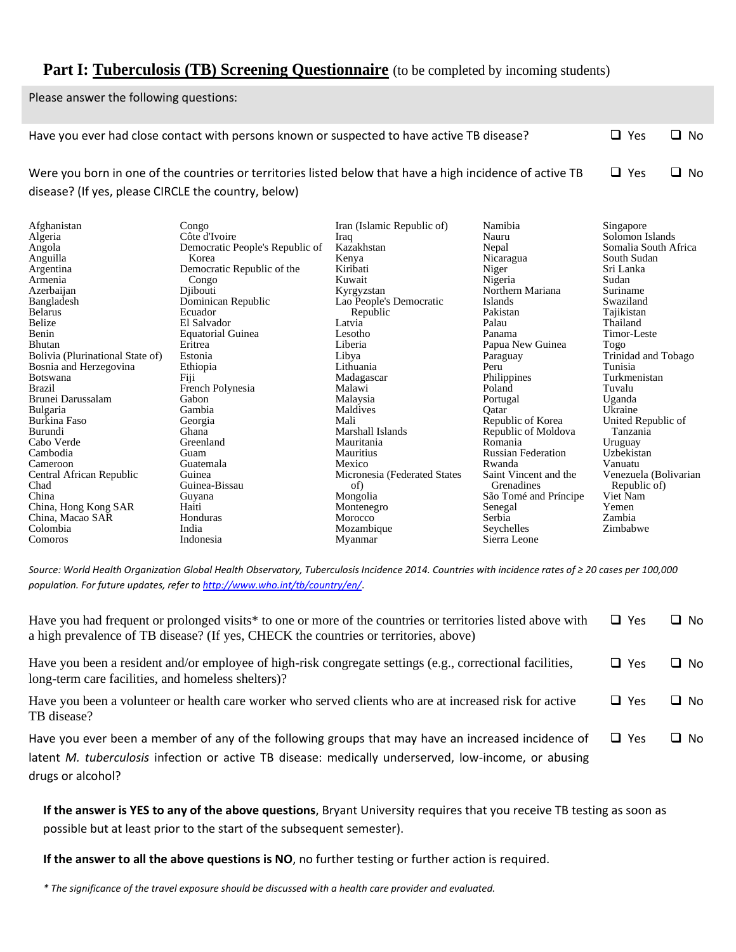## **Part I: Tuberculosis (TB) Screening Questionnaire** (to be completed by incoming students)

Please answer the following questions:

Comoros

|                                                                  | Have you ever had close contact with persons known or suspected to have active TB disease?                |                              |                           | $\Box$ Yes            | $\Box$ No |
|------------------------------------------------------------------|-----------------------------------------------------------------------------------------------------------|------------------------------|---------------------------|-----------------------|-----------|
|                                                                  |                                                                                                           |                              |                           |                       |           |
|                                                                  | Were you born in one of the countries or territories listed below that have a high incidence of active TB |                              |                           | $\Box$ Yes            | $\Box$ No |
|                                                                  |                                                                                                           |                              |                           |                       |           |
| disease? (If yes, please CIRCLE the country, below)              |                                                                                                           |                              |                           |                       |           |
|                                                                  |                                                                                                           |                              |                           |                       |           |
| Afghanistan                                                      | Congo                                                                                                     | Iran (Islamic Republic of)   | Namibia                   | Singapore             |           |
| Algeria                                                          | Côte d'Ivoire                                                                                             | Iraq                         | Nauru                     | Solomon Islands       |           |
| Angola                                                           | Democratic People's Republic of                                                                           | Kazakhstan                   | Nepal                     | Somalia South Africa  |           |
| Anguilla                                                         | Korea                                                                                                     | Kenya                        | Nicaragua                 | South Sudan           |           |
| Argentina                                                        | Democratic Republic of the                                                                                | Kiribati                     | Niger                     | Sri Lanka             |           |
| Armenia                                                          | Congo                                                                                                     | Kuwait                       | Nigeria                   | Sudan                 |           |
| Azerbaijan                                                       | Diibouti                                                                                                  | Kyrgyzstan                   | Northern Mariana          | Suriname              |           |
| Bangladesh                                                       | Dominican Republic                                                                                        | Lao People's Democratic      | Islands                   | Swaziland             |           |
| <b>Belarus</b>                                                   | Ecuador                                                                                                   | Republic                     | Pakistan                  | Tajikistan            |           |
| Belize                                                           | El Salvador                                                                                               | Latvia                       | Palau                     | Thailand              |           |
| Benin                                                            | <b>Equatorial Guinea</b>                                                                                  | Lesotho                      | Panama                    | Timor-Leste           |           |
| <b>Bhutan</b>                                                    | Eritrea                                                                                                   | Liberia                      | Papua New Guinea          | Togo                  |           |
| Bolivia (Plurinational State of)                                 | Estonia                                                                                                   | Libya                        | Paraguay                  | Trinidad and Tobago   |           |
| Bosnia and Herzegovina                                           | Ethiopia                                                                                                  | Lithuania                    | Peru                      | Tunisia               |           |
| <b>Botswana</b>                                                  | Fiji                                                                                                      | Madagascar                   | Philippines               | Turkmenistan          |           |
| <b>Brazil</b>                                                    | French Polynesia                                                                                          | Malawi                       | Poland                    | Tuvalu                |           |
| Brunei Darussalam                                                | Gabon                                                                                                     | Malaysia                     | Portugal                  | Uganda                |           |
| <b>Bulgaria</b>                                                  | Gambia                                                                                                    | Maldives                     | Oatar                     | Ukraine               |           |
| Republic of Korea<br>Burkina Faso<br>Mali<br>Georgia             |                                                                                                           |                              |                           | United Republic of    |           |
| Burundi                                                          | Marshall Islands<br>Ghana<br>Republic of Moldova<br>Tanzania                                              |                              |                           |                       |           |
| Cabo Verde                                                       | Greenland                                                                                                 | Mauritania                   | Romania                   | Uruguay               |           |
| Cambodia                                                         | Guam                                                                                                      | <b>Mauritius</b>             | <b>Russian Federation</b> | Uzbekistan            |           |
| Cameroon                                                         | Guatemala                                                                                                 | Mexico                       | Rwanda                    | Vanuatu               |           |
| Central African Republic                                         | Guinea                                                                                                    | Micronesia (Federated States | Saint Vincent and the     | Venezuela (Bolivarian |           |
| Guinea-Bissau<br>Chad<br>of)<br>Grenadines<br>Republic of)       |                                                                                                           |                              |                           |                       |           |
| China<br>Viet Nam<br>Mongolia<br>São Tomé and Príncipe<br>Guyana |                                                                                                           |                              |                           |                       |           |
| China, Hong Kong SAR                                             | Haiti                                                                                                     | Montenegro                   | Senegal                   | Yemen                 |           |
| China, Macao SAR                                                 | Honduras                                                                                                  | Morocco                      | Serbia                    | Zambia                |           |
| Colombia                                                         | India                                                                                                     | Mozambique                   | Sevchelles                | Zimbabwe              |           |

*Source: World Health Organization Global Health Observatory, Tuberculosis Incidence 2014. Countries with incidence rates of ≥ 20 cases per 100,000 population. For future updates, refer t[o http://www.who.int/tb/country/en/](http://www.who.int/tb/country/en/)*.

Myanmar

Sierra Leone

| Have you had frequent or prolonged visits <sup>*</sup> to one or more of the countries or territories listed above with<br>a high prevalence of TB disease? (If yes, CHECK the countries or territories, above)                        | $\Box$ Yes | $\Box$ No |
|----------------------------------------------------------------------------------------------------------------------------------------------------------------------------------------------------------------------------------------|------------|-----------|
| Have you been a resident and/or employee of high-risk congregate settings (e.g., correctional facilities,<br>long-term care facilities, and homeless shelters)?                                                                        | $\Box$ Yes | $\Box$ No |
| Have you been a volunteer or health care worker who served clients who are at increased risk for active<br>TB disease?                                                                                                                 | $\Box$ Yes | $\Box$ No |
| Have you ever been a member of any of the following groups that may have an increased incidence of<br>latent <i>M. tuberculosis</i> infection or active TB disease: medically underserved, low-income, or abusing<br>drugs or alcohol? | $\Box$ Yes | $\Box$ No |

**If the answer is YES to any of the above questions**, Bryant University requires that you receive TB testing as soon as possible but at least prior to the start of the subsequent semester).

**If the answer to all the above questions is NO**, no further testing or further action is required.

*\* The significance of the travel exposure should be discussed with a health care provider and evaluated.*

Indonesia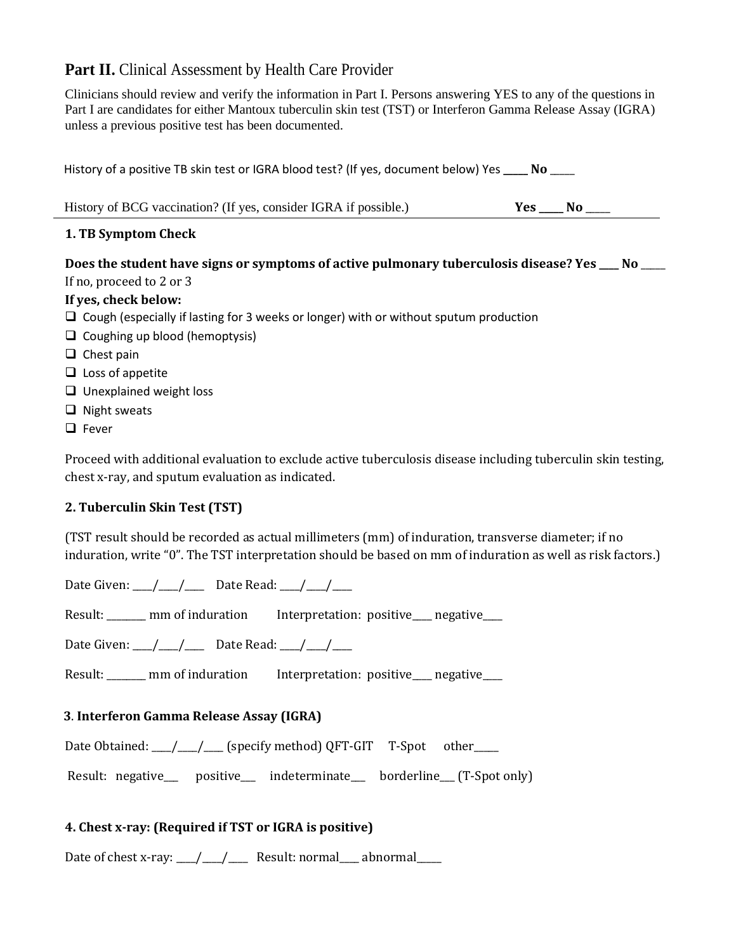## Part II. Clinical Assessment by Health Care Provider

Clinicians should review and verify the information in Part I. Persons answering YES to any of the questions in Part I are candidates for either Mantoux tuberculin skin test (TST) or Interferon Gamma Release Assay (IGRA) unless a previous positive test has been documented.

| History of a positive TB skin test or IGRA blood test? (If yes, document below) Yes _____ No ____ |                       |
|---------------------------------------------------------------------------------------------------|-----------------------|
| History of BCG vaccination? (If yes, consider IGRA if possible.)                                  | $Yes \_\_\_No \_\_\_$ |
| 1. TB Symptom Check                                                                               |                       |
| Does the student have signs or symptoms of active pulmonary tuberculosis disease? Yes __ No ___   |                       |
| If no, proceed to 2 or 3                                                                          |                       |
| If yes, check below:                                                                              |                       |
| $\Box$ Cough (especially if lasting for 3 weeks or longer) with or without sputum production      |                       |
| $\Box$ Coughing up blood (hemoptysis)                                                             |                       |
| $\Box$ Chost nain                                                                                 |                       |

- ❑ Chest pain
- ❑ Loss of appetite
- ❑ Unexplained weight loss
- ❑ Night sweats
- ❑ Fever

Proceed with additional evaluation to exclude active tuberculosis disease including tuberculin skin testing, chest x-ray, and sputum evaluation as indicated.

### **2. Tuberculin Skin Test (TST)**

(TST result should be recorded as actual millimeters (mm) of induration, transverse diameter; if no induration, write "0". The TST interpretation should be based on mm of induration as well as risk factors.)

Date Given:  $\frac{1}{\sqrt{2}}$  Date Read:  $\frac{1}{\sqrt{2}}$ 

Result: \_\_\_\_\_\_\_ mm of induration Interpretation: positive\_\_\_ negative\_\_\_

Date Given:  $\frac{1}{\sqrt{2}}$  Date Read:  $\frac{1}{\sqrt{2}}$ 

Result: \_\_\_\_\_\_ mm of induration Interpretation: positive\_\_\_ negative\_\_\_

### **3**. **Interferon Gamma Release Assay (IGRA)**

Date Obtained: \_\_\_\_/\_\_\_\_\_/ \_\_\_\_ (specify method) QFT-GIT T-Spot other \_\_\_\_\_

Result: negative\_\_\_ positive\_\_\_ indeterminate\_\_ borderline\_\_ (T-Spot only)

### **4. Chest x-ray: (Required if TST or IGRA is positive)**

Date of chest x-ray:  $\frac{1}{\sqrt{2}}$  Result: normal\_\_\_\_ abnormal\_\_\_\_